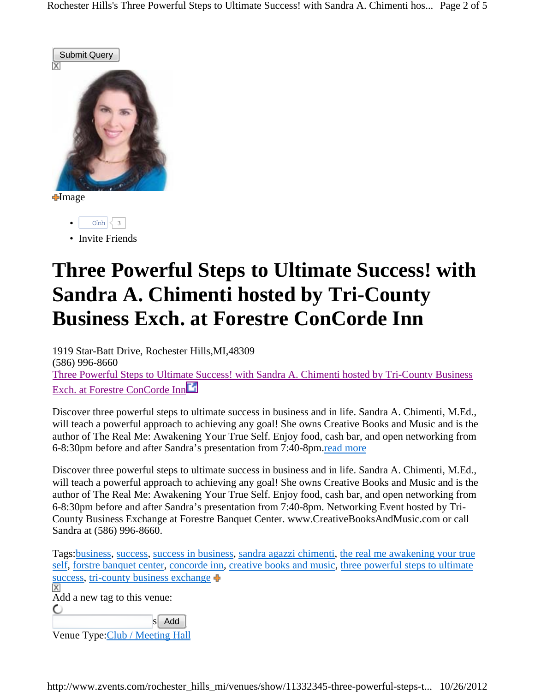

**I**mage

- $0$ hh  $\leq 3$
- Invite Friends

## **Three Powerful Steps to Ultimate Success! with Sandra A. Chimenti hosted by Tri-County Business Exch. at Forestre ConCorde Inn**

1919 Star-Batt Drive, Rochester Hills,MI,48309 (586) 996-8660 Three Powerful Steps to Ultimate Success! with Sandra A. Chimenti hosted by Tri-County Business Exch. at Forestre ConCorde Inn

Discover three powerful steps to ultimate success in business and in life. Sandra A. Chimenti, M.Ed., will teach a powerful approach to achieving any goal! She owns Creative Books and Music and is the author of The Real Me: Awakening Your True Self. Enjoy food, cash bar, and open networking from 6-8:30pm before and after Sandra's presentation from 7:40-8pm.read more

Discover three powerful steps to ultimate success in business and in life. Sandra A. Chimenti, M.Ed., will teach a powerful approach to achieving any goal! She owns Creative Books and Music and is the author of The Real Me: Awakening Your True Self. Enjoy food, cash bar, and open networking from 6-8:30pm before and after Sandra's presentation from 7:40-8pm. Networking Event hosted by Tri-County Business Exchange at Forestre Banquet Center. www.CreativeBooksAndMusic.com or call Sandra at (586) 996-8660.

Tags:business, success, success in business, sandra agazzi chimenti, the real me awakening your true self, forstre banquet center, concorde inn, creative books and music, three powerful steps to ultimate success, tri-county business exchange  $\blacksquare$ 

Add a new tag to this venue: O

s Add

Venue Type:Club / Meeting Hall